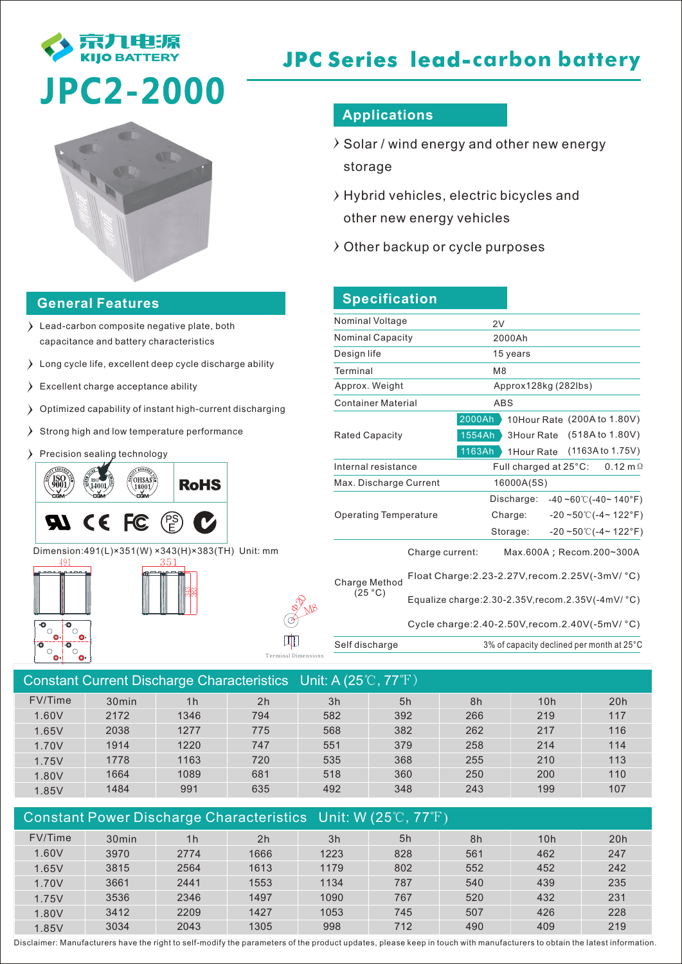

# **JPC Series lead-carbon battery**



#### **General Features**

- Lead-carbon composite negative plate, both capacitance and battery characteristics
- Long cycle life, excellent deep cycle discharge ability
- Excellent charge acceptance ability
- Optimized capability of instant high-current discharging
- $\sum$  Strong high and low temperature performance
- Precision sealing technology



Dimension:491(L)×351(W) ×343(H)×383(TH) Unit: mm

343 83





Terminal Dimensions

## **Applications**

- $\rightarrow$  Solar / wind energy and other new energy storage
- $\rightarrow$  Hybrid vehicles, electric bicycles and other new energy vehicles
- $\lambda$  Other backup or cycle purposes

## **Specification**

| Nominal Voltage              |                 | 2V                                                                    |  |  |  |
|------------------------------|-----------------|-----------------------------------------------------------------------|--|--|--|
| <b>Nominal Capacity</b>      |                 | 2000Ah                                                                |  |  |  |
| Design life                  |                 | 15 years                                                              |  |  |  |
| Terminal                     |                 | M <sub>8</sub>                                                        |  |  |  |
| Approx. Weight               |                 | Approx128kg (282lbs)                                                  |  |  |  |
| <b>Container Material</b>    |                 | <b>ABS</b>                                                            |  |  |  |
|                              |                 | 2000Ah<br>10Hour Rate (200A to 1.80V)                                 |  |  |  |
| <b>Rated Capacity</b>        |                 | (518A to 1.80V)<br>1554Ah<br>3Hour Rate                               |  |  |  |
|                              |                 | 1163Ah<br>(1163A to 1.75V)<br>1 Hour Rate                             |  |  |  |
| Internal resistance          |                 | Full charged at $25^{\circ}$ C:<br>$0.12 \text{ m}\Omega$             |  |  |  |
| Max. Discharge Current       |                 | 16000A(5S)                                                            |  |  |  |
|                              |                 | Discharge:<br>$-40 - 60$ °C( $-40 - 140$ °F)                          |  |  |  |
| <b>Operating Temperature</b> |                 | $-20 - 50$ °C( $-4$ ~ 122°F)<br>Charge:                               |  |  |  |
|                              |                 | $-20 - 50^{\circ}$ (-4~ 122°F)<br>Storage:                            |  |  |  |
|                              | Charge current: | Max.600A; Recom.200~300A                                              |  |  |  |
| Charge Method<br>(25 °C)     |                 | Float Charge: 2.23-2.27V, recom. 2.25V(-3mV/ °C)                      |  |  |  |
|                              |                 | Equalize charge: $2.30 - 2.35V$ , recom. $2.35V$ (-4mV/ $^{\circ}$ C) |  |  |  |

Cycle charge:2.40-2.50V,recom.2.40V(-5mV/ °C)

Self discharge 3% of capacity declined per month at 25°C

| Constant Current Discharge Characteristics Unit: A $(25^{\circ}$ C, 77 $^{\circ}$ F) |                   |                |     |     |     |     |     |     |  |
|--------------------------------------------------------------------------------------|-------------------|----------------|-----|-----|-----|-----|-----|-----|--|
| FV/Time                                                                              | 30 <sub>min</sub> | 1 <sub>h</sub> | 2h  | 3h  | 5h  | 8h  | 10h | 20h |  |
| 1.60V                                                                                | 2172              | 1346           | 794 | 582 | 392 | 266 | 219 | 117 |  |
| 1.65V                                                                                | 2038              | 1277           | 775 | 568 | 382 | 262 | 217 | 116 |  |
| 1.70V                                                                                | 1914              | 1220           | 747 | 551 | 379 | 258 | 214 | 114 |  |
| 1.75V                                                                                | 1778              | 1163           | 720 | 535 | 368 | 255 | 210 | 113 |  |
| 1.80V                                                                                | 1664              | 1089           | 681 | 518 | 360 | 250 | 200 | 110 |  |
| 1.85V                                                                                | 1484              | 991            | 635 | 492 | 348 | 243 | 199 | 107 |  |
|                                                                                      |                   |                |     |     |     |     |     |     |  |

| Constant Power Discharge Characteristics Unit: W (25°C, 77°F) |                   |                |                |      |     |     |     |     |
|---------------------------------------------------------------|-------------------|----------------|----------------|------|-----|-----|-----|-----|
| FV/Time                                                       | 30 <sub>min</sub> | 1 <sub>h</sub> | 2 <sub>h</sub> | 3h   | 5h  | 8h  | 10h | 20h |
| 1.60V                                                         | 3970              | 2774           | 1666           | 1223 | 828 | 561 | 462 | 247 |
| 1.65V                                                         | 3815              | 2564           | 1613           | 1179 | 802 | 552 | 452 | 242 |
| 1.70V                                                         | 3661              | 2441           | 1553           | 1134 | 787 | 540 | 439 | 235 |
| 1.75V                                                         | 3536              | 2346           | 1497           | 1090 | 767 | 520 | 432 | 231 |
| 1.80V                                                         | 3412              | 2209           | 1427           | 1053 | 745 | 507 | 426 | 228 |
| 1.85V                                                         | 3034              | 2043           | 1305           | 998  | 712 | 490 | 409 | 219 |

Disclaimer: Manufacturers have the right to self-modify the parameters of the product updates, please keep in touch with manufacturers to obtain the latest information.